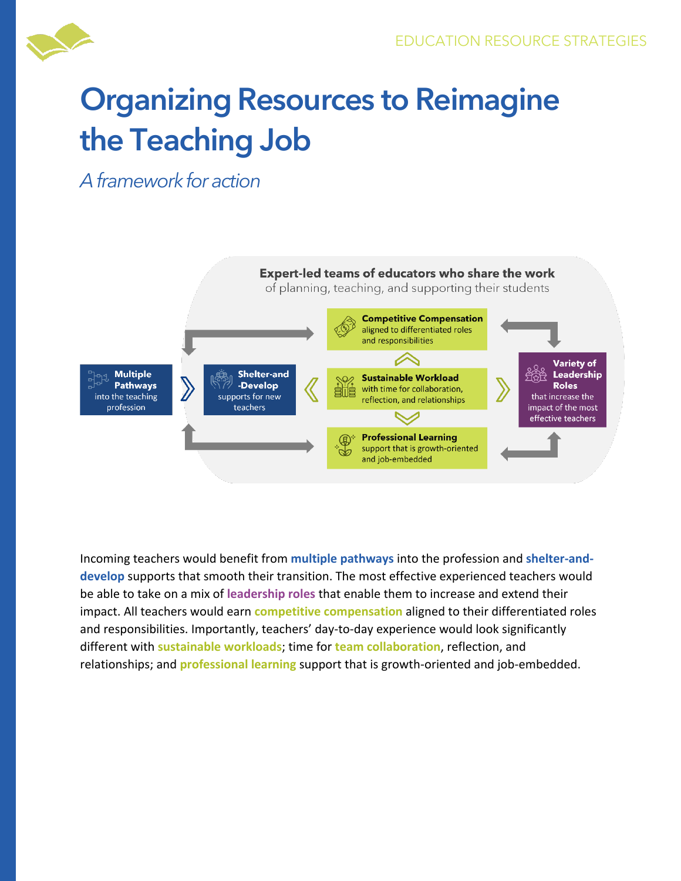

## **Organizing Resources to Reimagine the Teaching Job**

*A framework for action*



Incoming teachers would benefit from **multiple pathways** into the profession and **shelter-anddevelop** supports that smooth their transition. The most effective experienced teachers would be able to take on a mix of **leadership roles** that enable them to increase and extend their impact. All teachers would earn **competitive compensation** aligned to their differentiated roles and responsibilities. Importantly, teachers' day-to-day experience would look significantly different with **sustainable workloads**; time for **team collaboration**, reflection, and relationships; and **professional learning** support that is growth-oriented and job-embedded.